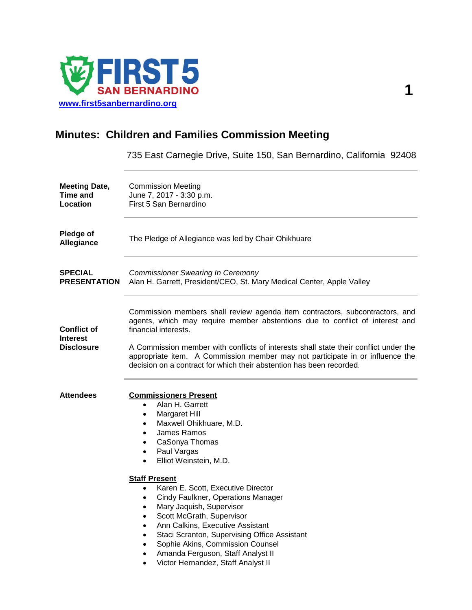

# **Minutes: Children and Families Commission Meeting**

735 East Carnegie Drive, Suite 150, San Bernardino, California 92408

| <b>Meeting Date,</b><br>Time and<br>Location               | <b>Commission Meeting</b><br>June 7, 2017 - 3:30 p.m.<br>First 5 San Bernardino                                                                                                                                                                                                                                                                                                                                                                                                                                                                                                                                                                                         |
|------------------------------------------------------------|-------------------------------------------------------------------------------------------------------------------------------------------------------------------------------------------------------------------------------------------------------------------------------------------------------------------------------------------------------------------------------------------------------------------------------------------------------------------------------------------------------------------------------------------------------------------------------------------------------------------------------------------------------------------------|
| Pledge of<br>Allegiance                                    | The Pledge of Allegiance was led by Chair Ohikhuare                                                                                                                                                                                                                                                                                                                                                                                                                                                                                                                                                                                                                     |
| <b>SPECIAL</b><br><b>PRESENTATION</b>                      | <b>Commissioner Swearing In Ceremony</b><br>Alan H. Garrett, President/CEO, St. Mary Medical Center, Apple Valley                                                                                                                                                                                                                                                                                                                                                                                                                                                                                                                                                       |
| <b>Conflict of</b><br><b>Interest</b><br><b>Disclosure</b> | Commission members shall review agenda item contractors, subcontractors, and<br>agents, which may require member abstentions due to conflict of interest and<br>financial interests.<br>A Commission member with conflicts of interests shall state their conflict under the<br>appropriate item. A Commission member may not participate in or influence the<br>decision on a contract for which their abstention has been recorded.                                                                                                                                                                                                                                   |
| <b>Attendees</b>                                           | <b>Commissioners Present</b><br>Alan H. Garrett<br>$\bullet$<br>Margaret Hill<br>$\bullet$<br>Maxwell Ohikhuare, M.D.<br>$\bullet$<br>James Ramos<br>$\bullet$<br>CaSonya Thomas<br>Paul Vargas<br>$\bullet$<br>Elliot Weinstein, M.D.<br>$\bullet$<br><b>Staff Present</b><br>Karen E. Scott, Executive Director<br>$\bullet$<br>Cindy Faulkner, Operations Manager<br>$\bullet$<br>Mary Jaquish, Supervisor<br>Scott McGrath, Supervisor<br>$\bullet$<br>Ann Calkins, Executive Assistant<br>$\bullet$<br>Staci Scranton, Supervising Office Assistant<br>Sophie Akins, Commission Counsel<br>Amanda Ferguson, Staff Analyst II<br>Victor Hernandez, Staff Analyst II |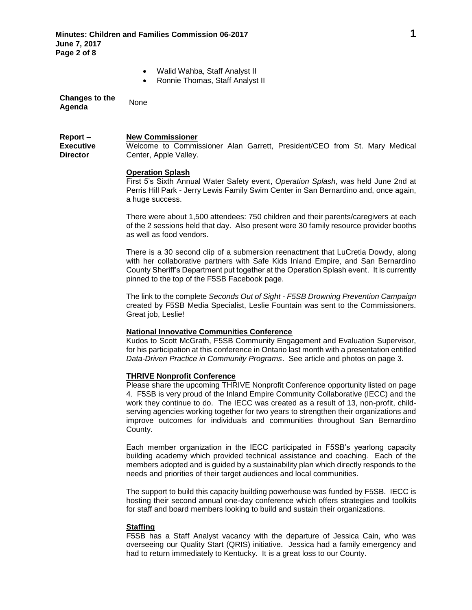- Walid Wahba, Staff Analyst II
- Ronnie Thomas, Staff Analyst II

| <b>Changes to the</b><br>Agenda | None |
|---------------------------------|------|
|                                 |      |

### **New Commissioner**

**Report – Executive Director**

Welcome to Commissioner Alan Garrett, President/CEO from St. Mary Medical Center, Apple Valley.

## **Operation Splash**

First 5's Sixth Annual Water Safety event, *Operation Splash*, was held June 2nd at Perris Hill Park - Jerry Lewis Family Swim Center in San Bernardino and, once again, a huge success.

There were about 1,500 attendees: 750 children and their parents/caregivers at each of the 2 sessions held that day. Also present were 30 family resource provider booths as well as food vendors.

There is a 30 second clip of a submersion reenactment that LuCretia Dowdy, along with her collaborative partners with Safe Kids Inland Empire, and San Bernardino County Sheriff's Department put together at the Operation Splash event. It is currently pinned to the top of the F5SB Facebook page.

The link to the complete *Seconds Out of Sight - F5SB Drowning Prevention Campaign* created by F5SB Media Specialist, Leslie Fountain was sent to the Commissioners. Great job, Leslie!

# **National Innovative Communities Conference**

Kudos to Scott McGrath, F5SB Community Engagement and Evaluation Supervisor, for his participation at this conference in Ontario last month with a presentation entitled *Data-Driven Practice in Community Programs*. See article and photos on page 3.

# **THRIVE Nonprofit Conference**

Please share the upcoming THRIVE Nonprofit Conference opportunity listed on page 4. F5SB is very proud of the Inland Empire Community Collaborative (IECC) and the work they continue to do. The IECC was created as a result of 13, non-profit, childserving agencies working together for two years to strengthen their organizations and improve outcomes for individuals and communities throughout San Bernardino County.

Each member organization in the IECC participated in F5SB's yearlong capacity building academy which provided technical assistance and coaching. Each of the members adopted and is guided by a sustainability plan which directly responds to the needs and priorities of their target audiences and local communities.

The support to build this capacity building powerhouse was funded by F5SB. IECC is hosting their second annual one-day conference which offers strategies and toolkits for staff and board members looking to build and sustain their organizations.

# **Staffing**

F5SB has a Staff Analyst vacancy with the departure of Jessica Cain, who was overseeing our Quality Start (QRIS) initiative. Jessica had a family emergency and had to return immediately to Kentucky. It is a great loss to our County.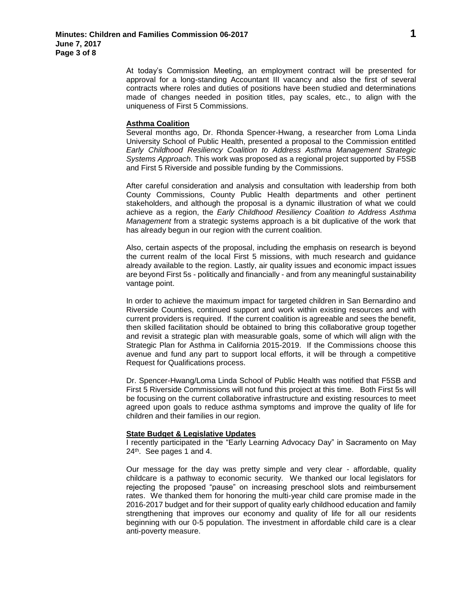At today's Commission Meeting, an employment contract will be presented for approval for a long-standing Accountant III vacancy and also the first of several contracts where roles and duties of positions have been studied and determinations made of changes needed in position titles, pay scales, etc., to align with the uniqueness of First 5 Commissions.

### **Asthma Coalition**

Several months ago, Dr. Rhonda Spencer-Hwang, a researcher from Loma Linda University School of Public Health, presented a proposal to the Commission entitled *Early Childhood Resiliency Coalition to Address Asthma Management Strategic Systems Approach*. This work was proposed as a regional project supported by F5SB and First 5 Riverside and possible funding by the Commissions.

After careful consideration and analysis and consultation with leadership from both County Commissions, County Public Health departments and other pertinent stakeholders, and although the proposal is a dynamic illustration of what we could achieve as a region, the *Early Childhood Resiliency Coalition to Address Asthma Management* from a strategic systems approach is a bit duplicative of the work that has already begun in our region with the current coalition.

Also, certain aspects of the proposal, including the emphasis on research is beyond the current realm of the local First 5 missions, with much research and guidance already available to the region. Lastly, air quality issues and economic impact issues are beyond First 5s - politically and financially - and from any meaningful sustainability vantage point.

In order to achieve the maximum impact for targeted children in San Bernardino and Riverside Counties, continued support and work within existing resources and with current providers is required. If the current coalition is agreeable and sees the benefit, then skilled facilitation should be obtained to bring this collaborative group together and revisit a strategic plan with measurable goals, some of which will align with the Strategic Plan for Asthma in California 2015-2019. If the Commissions choose this avenue and fund any part to support local efforts, it will be through a competitive Request for Qualifications process.

Dr. Spencer-Hwang/Loma Linda School of Public Health was notified that F5SB and First 5 Riverside Commissions will not fund this project at this time. Both First 5s will be focusing on the current collaborative infrastructure and existing resources to meet agreed upon goals to reduce asthma symptoms and improve the quality of life for children and their families in our region.

# **State Budget & Legislative Updates**

I recently participated in the "Early Learning Advocacy Day" in Sacramento on May 24th . See pages 1 and 4.

Our message for the day was pretty simple and very clear - affordable, quality childcare is a pathway to economic security. We thanked our local legislators for rejecting the proposed "pause" on increasing preschool slots and reimbursement rates. We thanked them for honoring the multi-year child care promise made in the 2016-2017 budget and for their support of quality early childhood education and family strengthening that improves our economy and quality of life for all our residents beginning with our 0-5 population. The investment in affordable child care is a clear anti-poverty measure.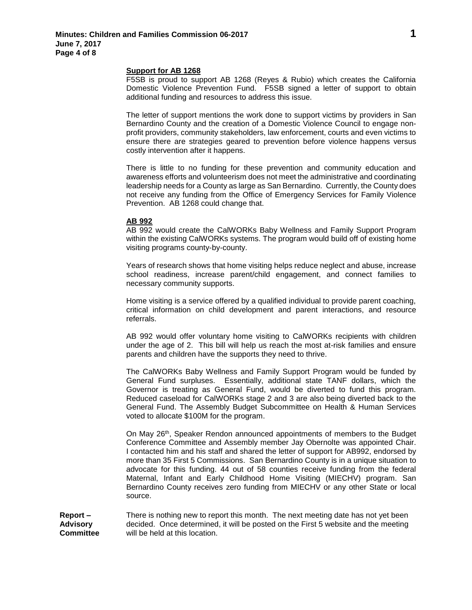## **Support for AB 1268**

F5SB is proud to support AB 1268 (Reyes & Rubio) which creates the California Domestic Violence Prevention Fund. F5SB signed a letter of support to obtain additional funding and resources to address this issue.

The letter of support mentions the work done to support victims by providers in San Bernardino County and the creation of a Domestic Violence Council to engage nonprofit providers, community stakeholders, law enforcement, courts and even victims to ensure there are strategies geared to prevention before violence happens versus costly intervention after it happens.

There is little to no funding for these prevention and community education and awareness efforts and volunteerism does not meet the administrative and coordinating leadership needs for a County as large as San Bernardino. Currently, the County does not receive any funding from the Office of Emergency Services for Family Violence Prevention. AB 1268 could change that.

## **AB 992**

AB 992 would create the CalWORKs Baby Wellness and Family Support Program within the existing CalWORKs systems. The program would build off of existing home visiting programs county-by-county.

Years of research shows that home visiting helps reduce neglect and abuse, increase school readiness, increase parent/child engagement, and connect families to necessary community supports.

Home visiting is a service offered by a qualified individual to provide parent coaching, critical information on child development and parent interactions, and resource referrals.

AB 992 would offer voluntary home visiting to CalWORKs recipients with children under the age of 2. This bill will help us reach the most at-risk families and ensure parents and children have the supports they need to thrive.

The CalWORKs Baby Wellness and Family Support Program would be funded by General Fund surpluses. Essentially, additional state TANF dollars, which the Governor is treating as General Fund, would be diverted to fund this program. Reduced caseload for CalWORKs stage 2 and 3 are also being diverted back to the General Fund. The Assembly Budget Subcommittee on Health & Human Services voted to allocate \$100M for the program.

On May 26th, Speaker Rendon announced appointments of members to the Budget Conference Committee and Assembly member Jay Obernolte was appointed Chair. I contacted him and his staff and shared the letter of support for AB992, endorsed by more than 35 First 5 Commissions. San Bernardino County is in a unique situation to advocate for this funding. 44 out of 58 counties receive funding from the federal Maternal, Infant and Early Childhood Home Visiting (MIECHV) program. San Bernardino County receives zero funding from MIECHV or any other State or local source.

**Report – Advisory Committee** There is nothing new to report this month. The next meeting date has not yet been decided. Once determined, it will be posted on the First 5 website and the meeting will be held at this location.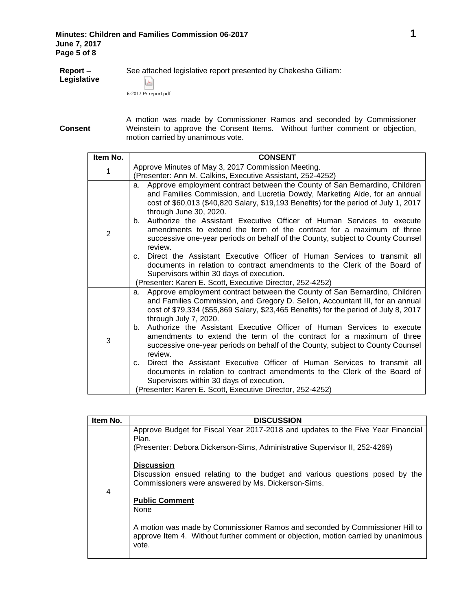**Report –** See attached legislative report presented by Chekesha Gilliam: **Legislative**  $\overline{\mathcal{Y}}$ 6-2017 F5 report.pdf

**Consent**

A motion was made by Commissioner Ramos and seconded by Commissioner Weinstein to approve the Consent Items. Without further comment or objection, motion carried by unanimous vote.

| Item No.       | <b>CONSENT</b>                                                                                                                                                                                                                                                                                                                                                                                                                                                                                                                                                                                                                                                                                                                                                                                               |
|----------------|--------------------------------------------------------------------------------------------------------------------------------------------------------------------------------------------------------------------------------------------------------------------------------------------------------------------------------------------------------------------------------------------------------------------------------------------------------------------------------------------------------------------------------------------------------------------------------------------------------------------------------------------------------------------------------------------------------------------------------------------------------------------------------------------------------------|
| 1              | Approve Minutes of May 3, 2017 Commission Meeting.<br>(Presenter: Ann M. Calkins, Executive Assistant, 252-4252)                                                                                                                                                                                                                                                                                                                                                                                                                                                                                                                                                                                                                                                                                             |
| $\overline{2}$ | Approve employment contract between the County of San Bernardino, Children<br>а.<br>and Families Commission, and Lucretia Dowdy, Marketing Aide, for an annual<br>cost of \$60,013 (\$40,820 Salary, \$19,193 Benefits) for the period of July 1, 2017<br>through June 30, 2020.<br>b. Authorize the Assistant Executive Officer of Human Services to execute<br>amendments to extend the term of the contract for a maximum of three<br>successive one-year periods on behalf of the County, subject to County Counsel<br>review.<br>Direct the Assistant Executive Officer of Human Services to transmit all<br>C.<br>documents in relation to contract amendments to the Clerk of the Board of<br>Supervisors within 30 days of execution.<br>(Presenter: Karen E. Scott, Executive Director, 252-4252)   |
| 3              | Approve employment contract between the County of San Bernardino, Children<br>a.<br>and Families Commission, and Gregory D. Sellon, Accountant III, for an annual<br>cost of \$79,334 (\$55,869 Salary, \$23,465 Benefits) for the period of July 8, 2017<br>through July 7, 2020.<br>b. Authorize the Assistant Executive Officer of Human Services to execute<br>amendments to extend the term of the contract for a maximum of three<br>successive one-year periods on behalf of the County, subject to County Counsel<br>review.<br>Direct the Assistant Executive Officer of Human Services to transmit all<br>C.<br>documents in relation to contract amendments to the Clerk of the Board of<br>Supervisors within 30 days of execution.<br>(Presenter: Karen E. Scott, Executive Director, 252-4252) |

| Item No. | <b>DISCUSSION</b>                                                                                                                                                          |
|----------|----------------------------------------------------------------------------------------------------------------------------------------------------------------------------|
| 4        | Approve Budget for Fiscal Year 2017-2018 and updates to the Five Year Financial<br>Plan.                                                                                   |
|          | (Presenter: Debora Dickerson-Sims, Administrative Supervisor II, 252-4269)                                                                                                 |
|          | <b>Discussion</b>                                                                                                                                                          |
|          | Discussion ensued relating to the budget and various questions posed by the<br>Commissioners were answered by Ms. Dickerson-Sims.                                          |
|          | <b>Public Comment</b><br>None                                                                                                                                              |
|          |                                                                                                                                                                            |
|          | A motion was made by Commissioner Ramos and seconded by Commissioner Hill to<br>approve Item 4. Without further comment or objection, motion carried by unanimous<br>vote. |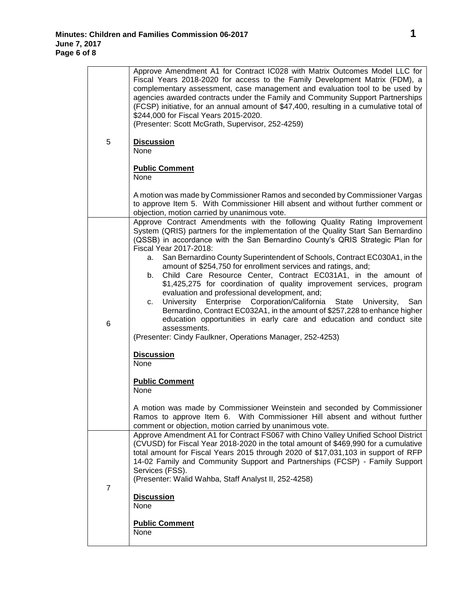| 5 | Approve Amendment A1 for Contract IC028 with Matrix Outcomes Model LLC for<br>Fiscal Years 2018-2020 for access to the Family Development Matrix (FDM), a<br>complementary assessment, case management and evaluation tool to be used by<br>agencies awarded contracts under the Family and Community Support Partnerships<br>(FCSP) initiative, for an annual amount of \$47,400, resulting in a cumulative total of<br>\$244,000 for Fiscal Years 2015-2020.<br>(Presenter: Scott McGrath, Supervisor, 252-4259)<br><b>Discussion</b><br>None                                                                                                                                                                                                                                                                                                                                                                                                                                                               |
|---|---------------------------------------------------------------------------------------------------------------------------------------------------------------------------------------------------------------------------------------------------------------------------------------------------------------------------------------------------------------------------------------------------------------------------------------------------------------------------------------------------------------------------------------------------------------------------------------------------------------------------------------------------------------------------------------------------------------------------------------------------------------------------------------------------------------------------------------------------------------------------------------------------------------------------------------------------------------------------------------------------------------|
|   | <b>Public Comment</b><br>None                                                                                                                                                                                                                                                                                                                                                                                                                                                                                                                                                                                                                                                                                                                                                                                                                                                                                                                                                                                 |
|   | A motion was made by Commissioner Ramos and seconded by Commissioner Vargas<br>to approve Item 5. With Commissioner Hill absent and without further comment or<br>objection, motion carried by unanimous vote.                                                                                                                                                                                                                                                                                                                                                                                                                                                                                                                                                                                                                                                                                                                                                                                                |
| 6 | Approve Contract Amendments with the following Quality Rating Improvement<br>System (QRIS) partners for the implementation of the Quality Start San Bernardino<br>(QSSB) in accordance with the San Bernardino County's QRIS Strategic Plan for<br>Fiscal Year 2017-2018:<br>San Bernardino County Superintendent of Schools, Contract EC030A1, in the<br>а.<br>amount of \$254,750 for enrollment services and ratings, and;<br>Child Care Resource Center, Contract EC031A1, in the amount of<br>b.<br>\$1,425,275 for coordination of quality improvement services, program<br>evaluation and professional development, and;<br>University Enterprise Corporation/California<br>State<br>University,<br>San<br>c.<br>Bernardino, Contract EC032A1, in the amount of \$257,228 to enhance higher<br>education opportunities in early care and education and conduct site<br>assessments.<br>(Presenter: Cindy Faulkner, Operations Manager, 252-4253)<br><b>Discussion</b><br>None<br><b>Public Comment</b> |
|   | None<br>A motion was made by Commissioner Weinstein and seconded by Commissioner<br>Ramos to approve Item 6. With Commissioner Hill absent and without further<br>comment or objection, motion carried by unanimous vote.                                                                                                                                                                                                                                                                                                                                                                                                                                                                                                                                                                                                                                                                                                                                                                                     |
| 7 | Approve Amendment A1 for Contract FS067 with Chino Valley Unified School District<br>(CVUSD) for Fiscal Year 2018-2020 in the total amount of \$469,990 for a cumulative<br>total amount for Fiscal Years 2015 through 2020 of \$17,031,103 in support of RFP<br>14-02 Family and Community Support and Partnerships (FCSP) - Family Support<br>Services (FSS).<br>(Presenter: Walid Wahba, Staff Analyst II, 252-4258)                                                                                                                                                                                                                                                                                                                                                                                                                                                                                                                                                                                       |
|   | <b>Discussion</b><br>None<br><b>Public Comment</b><br>None                                                                                                                                                                                                                                                                                                                                                                                                                                                                                                                                                                                                                                                                                                                                                                                                                                                                                                                                                    |
|   |                                                                                                                                                                                                                                                                                                                                                                                                                                                                                                                                                                                                                                                                                                                                                                                                                                                                                                                                                                                                               |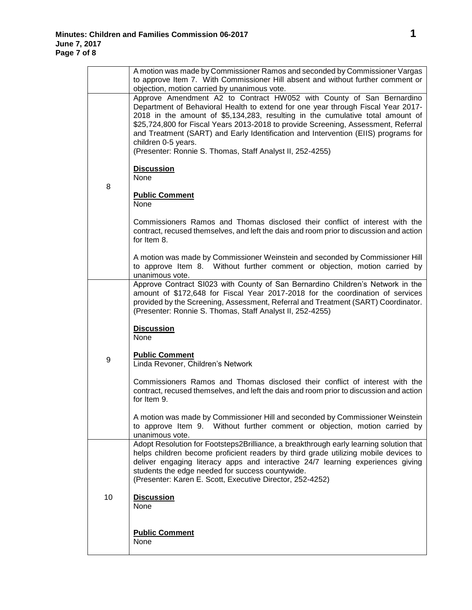|    | A motion was made by Commissioner Ramos and seconded by Commissioner Vargas<br>to approve Item 7. With Commissioner Hill absent and without further comment or                                                                                                                                                                                                                                                                                                                                                                                             |
|----|------------------------------------------------------------------------------------------------------------------------------------------------------------------------------------------------------------------------------------------------------------------------------------------------------------------------------------------------------------------------------------------------------------------------------------------------------------------------------------------------------------------------------------------------------------|
| 8  | objection, motion carried by unanimous vote.<br>Approve Amendment A2 to Contract HW052 with County of San Bernardino<br>Department of Behavioral Health to extend for one year through Fiscal Year 2017-<br>2018 in the amount of \$5,134,283, resulting in the cumulative total amount of<br>\$25,724,800 for Fiscal Years 2013-2018 to provide Screening, Assessment, Referral<br>and Treatment (SART) and Early Identification and Intervention (EIIS) programs for<br>children 0-5 years.<br>(Presenter: Ronnie S. Thomas, Staff Analyst II, 252-4255) |
|    | <b>Discussion</b><br>None<br><b>Public Comment</b><br>None                                                                                                                                                                                                                                                                                                                                                                                                                                                                                                 |
|    | Commissioners Ramos and Thomas disclosed their conflict of interest with the<br>contract, recused themselves, and left the dais and room prior to discussion and action<br>for Item 8.                                                                                                                                                                                                                                                                                                                                                                     |
|    | A motion was made by Commissioner Weinstein and seconded by Commissioner Hill<br>to approve Item 8. Without further comment or objection, motion carried by<br>unanimous vote.                                                                                                                                                                                                                                                                                                                                                                             |
| 9  | Approve Contract SI023 with County of San Bernardino Children's Network in the<br>amount of \$172,648 for Fiscal Year 2017-2018 for the coordination of services<br>provided by the Screening, Assessment, Referral and Treatment (SART) Coordinator.<br>(Presenter: Ronnie S. Thomas, Staff Analyst II, 252-4255)                                                                                                                                                                                                                                         |
|    | <b>Discussion</b><br>None                                                                                                                                                                                                                                                                                                                                                                                                                                                                                                                                  |
|    | <b>Public Comment</b><br>Linda Revoner, Children's Network                                                                                                                                                                                                                                                                                                                                                                                                                                                                                                 |
|    | Commissioners Ramos and Thomas disclosed their conflict of interest with the<br>contract, recused themselves, and left the dais and room prior to discussion and action<br>for Item 9.                                                                                                                                                                                                                                                                                                                                                                     |
|    | A motion was made by Commissioner Hill and seconded by Commissioner Weinstein<br>to approve Item 9. Without further comment or objection, motion carried by<br>unanimous vote.                                                                                                                                                                                                                                                                                                                                                                             |
| 10 | Adopt Resolution for Footsteps2Brilliance, a breakthrough early learning solution that<br>helps children become proficient readers by third grade utilizing mobile devices to<br>deliver engaging literacy apps and interactive 24/7 learning experiences giving<br>students the edge needed for success countywide.<br>(Presenter: Karen E. Scott, Executive Director, 252-4252)                                                                                                                                                                          |
|    | <b>Discussion</b><br>None                                                                                                                                                                                                                                                                                                                                                                                                                                                                                                                                  |
|    | <b>Public Comment</b><br>None                                                                                                                                                                                                                                                                                                                                                                                                                                                                                                                              |